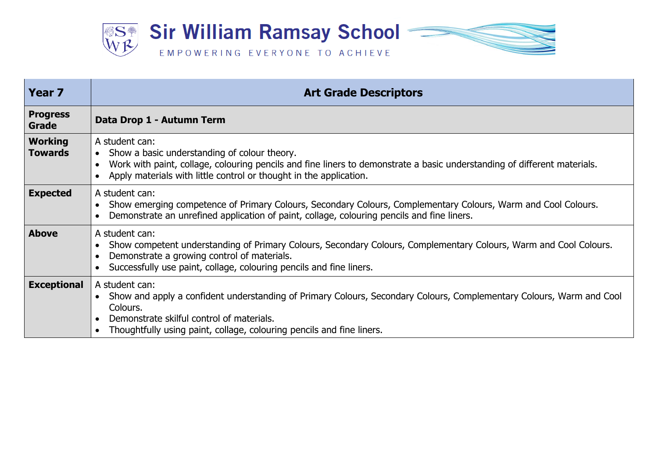

| Year <sub>7</sub>                | <b>Art Grade Descriptors</b>                                                                                                                                                                                                                                             |
|----------------------------------|--------------------------------------------------------------------------------------------------------------------------------------------------------------------------------------------------------------------------------------------------------------------------|
| <b>Progress</b><br>Grade         | Data Drop 1 - Autumn Term                                                                                                                                                                                                                                                |
| <b>Working</b><br><b>Towards</b> | A student can:<br>• Show a basic understanding of colour theory.<br>Work with paint, collage, colouring pencils and fine liners to demonstrate a basic understanding of different materials.<br>Apply materials with little control or thought in the application.       |
| <b>Expected</b>                  | A student can:<br>Show emerging competence of Primary Colours, Secondary Colours, Complementary Colours, Warm and Cool Colours.<br>Demonstrate an unrefined application of paint, collage, colouring pencils and fine liners.                                            |
| <b>Above</b>                     | A student can:<br>Show competent understanding of Primary Colours, Secondary Colours, Complementary Colours, Warm and Cool Colours.<br>Demonstrate a growing control of materials.<br>Successfully use paint, collage, colouring pencils and fine liners.                |
| <b>Exceptional</b>               | A student can:<br>Show and apply a confident understanding of Primary Colours, Secondary Colours, Complementary Colours, Warm and Cool<br>Colours.<br>Demonstrate skilful control of materials.<br>Thoughtfully using paint, collage, colouring pencils and fine liners. |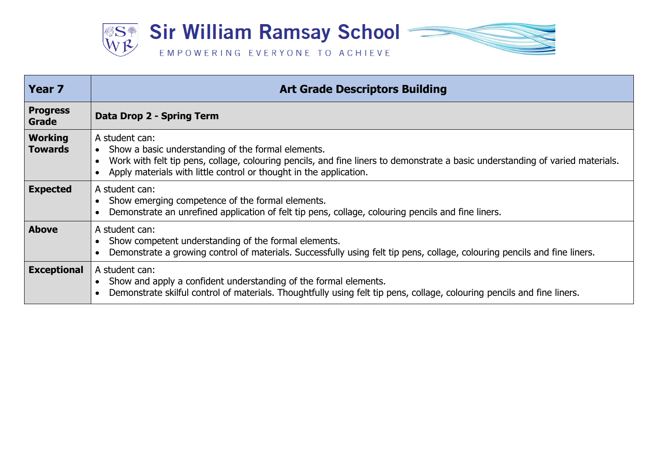

| <b>Year 7</b>                    | <b>Art Grade Descriptors Building</b>                                                                                                                                                                                                                                                     |
|----------------------------------|-------------------------------------------------------------------------------------------------------------------------------------------------------------------------------------------------------------------------------------------------------------------------------------------|
| <b>Progress</b><br>Grade         | Data Drop 2 - Spring Term                                                                                                                                                                                                                                                                 |
| <b>Working</b><br><b>Towards</b> | A student can:<br>Show a basic understanding of the formal elements.<br>$\bullet$<br>Work with felt tip pens, collage, colouring pencils, and fine liners to demonstrate a basic understanding of varied materials.<br>Apply materials with little control or thought in the application. |
| <b>Expected</b>                  | A student can:<br>Show emerging competence of the formal elements.<br>Demonstrate an unrefined application of felt tip pens, collage, colouring pencils and fine liners.                                                                                                                  |
| <b>Above</b>                     | A student can:<br>Show competent understanding of the formal elements.<br>Demonstrate a growing control of materials. Successfully using felt tip pens, collage, colouring pencils and fine liners.                                                                                       |
| <b>Exceptional</b>               | A student can:<br>Show and apply a confident understanding of the formal elements.<br>Demonstrate skilful control of materials. Thoughtfully using felt tip pens, collage, colouring pencils and fine liners.                                                                             |